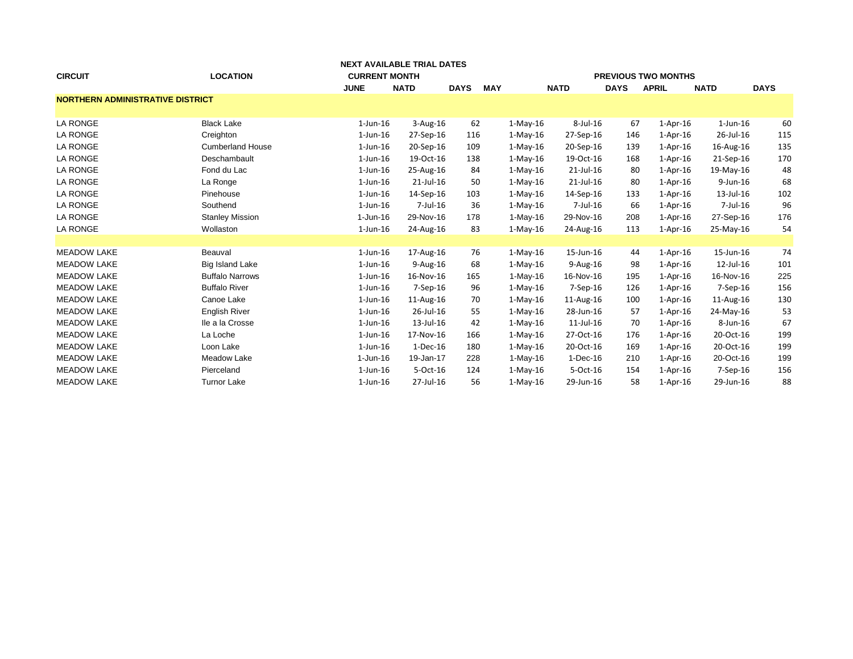|                                         |                         |                      | NEXT AVAILABLE TRIAL DATES |             |            |            |                 |             |                            |                |             |
|-----------------------------------------|-------------------------|----------------------|----------------------------|-------------|------------|------------|-----------------|-------------|----------------------------|----------------|-------------|
| <b>CIRCUIT</b>                          | <b>LOCATION</b>         | <b>CURRENT MONTH</b> |                            |             |            |            |                 |             | <b>PREVIOUS TWO MONTHS</b> |                |             |
|                                         |                         | <b>JUNE</b>          | <b>NATD</b>                | <b>DAYS</b> | <b>MAY</b> |            | <b>NATD</b>     | <b>DAYS</b> | <b>APRIL</b>               | <b>NATD</b>    | <b>DAYS</b> |
| <b>NORTHERN ADMINISTRATIVE DISTRICT</b> |                         |                      |                            |             |            |            |                 |             |                            |                |             |
|                                         |                         |                      |                            |             |            |            |                 |             |                            |                |             |
| LA RONGE                                | <b>Black Lake</b>       | $1$ -Jun- $16$       | 3-Aug-16                   | 62          |            | $1-May-16$ | $8$ -Jul-16     | 67          | $1-Apr-16$                 | $1$ -Jun- $16$ | 60          |
| <b>LA RONGE</b>                         | Creighton               | $1$ -Jun- $16$       | 27-Sep-16                  | 116         |            | $1-Mav-16$ | 27-Sep-16       | 146         | $1-Apr-16$                 | 26-Jul-16      | 115         |
| <b>LA RONGE</b>                         | <b>Cumberland House</b> | $1$ -Jun- $16$       | 20-Sep-16                  | 109         |            | $1-Mav-16$ | 20-Sep-16       | 139         | $1-Apr-16$                 | 16-Aug-16      | 135         |
| <b>LA RONGE</b>                         | Deschambault            | $1$ -Jun- $16$       | 19-Oct-16                  | 138         |            | $1-May-16$ | 19-Oct-16       | 168         | $1-Apr-16$                 | 21-Sep-16      | 170         |
| <b>LA RONGE</b>                         | Fond du Lac             | $1$ -Jun- $16$       | 25-Aug-16                  | 84          |            | $1-May-16$ | 21-Jul-16       | 80          | $1-Apr-16$                 | 19-May-16      | 48          |
| <b>LA RONGE</b>                         | La Ronge                | $1$ -Jun- $16$       | $21$ -Jul-16               | 50          |            | $1-May-16$ | $21$ -Jul-16    | 80          | $1-Apr-16$                 | 9-Jun-16       | 68          |
| <b>LA RONGE</b>                         | Pinehouse               | $1$ -Jun- $16$       | 14-Sep-16                  | 103         |            | $1-Mav-16$ | 14-Sep-16       | 133         | $1-Apr-16$                 | 13-Jul-16      | 102         |
| <b>LA RONGE</b>                         | Southend                | $1$ -Jun- $16$       | 7-Jul-16                   | 36          |            | $1-May-16$ | $7$ -Jul-16     | 66          | $1-Apr-16$                 | 7-Jul-16       | 96          |
| <b>LA RONGE</b>                         | <b>Stanley Mission</b>  | 1-Jun-16             | 29-Nov-16                  | 178         |            | $1-May-16$ | 29-Nov-16       | 208         | $1-Apr-16$                 | 27-Sep-16      | 176         |
| <b>LA RONGE</b>                         | Wollaston               | $1$ -Jun- $16$       | 24-Aug-16                  | 83          |            | $1-Mav-16$ | 24-Aug-16       | 113         | $1-Apr-16$                 | 25-May-16      | 54          |
|                                         |                         |                      |                            |             |            |            |                 |             |                            |                |             |
| <b>MEADOW LAKE</b>                      | Beauval                 | $1$ -Jun- $16$       | 17-Aug-16                  | 76          |            | $1-May-16$ | 15-Jun-16       | 44          | $1-Apr-16$                 | 15-Jun-16      | 74          |
| <b>MEADOW LAKE</b>                      | Big Island Lake         | $1$ -Jun- $16$       | $9-Aug-16$                 | 68          |            | $1-Mav-16$ | $9-Aug-16$      | 98          | $1-Apr-16$                 | 12-Jul-16      | 101         |
| <b>MEADOW LAKE</b>                      | <b>Buffalo Narrows</b>  | $1$ -Jun- $16$       | 16-Nov-16                  | 165         |            | $1-May-16$ | 16-Nov-16       | 195         | 1-Apr-16                   | 16-Nov-16      | 225         |
| <b>MEADOW LAKE</b>                      | <b>Buffalo River</b>    | $1$ -Jun- $16$       | 7-Sep-16                   | 96          |            | $1-Mav-16$ | 7-Sep-16        | 126         | $1-Apr-16$                 | $7-$ Sep $-16$ | 156         |
| <b>MEADOW LAKE</b>                      | Canoe Lake              | $1$ -Jun- $16$       | 11-Aug-16                  | 70          |            | $1-Mav-16$ | 11-Aug-16       | 100         | $1-Apr-16$                 | 11-Aug-16      | 130         |
| <b>MEADOW LAKE</b>                      | English River           | $1$ -Jun- $16$       | 26-Jul-16                  | 55          |            | $1-Mav-16$ | 28-Jun-16       | 57          | $1-Apr-16$                 | 24-May-16      | 53          |
| <b>MEADOW LAKE</b>                      | Ile a la Crosse         | $1$ -Jun- $16$       | 13-Jul-16                  | 42          |            | $1-May-16$ | $11$ -Jul- $16$ | 70          | $1-Apr-16$                 | 8-Jun-16       | 67          |
| <b>MEADOW LAKE</b>                      | La Loche                | $1$ -Jun- $16$       | 17-Nov-16                  | 166         |            | $1-May-16$ | 27-Oct-16       | 176         | $1-Apr-16$                 | 20-Oct-16      | 199         |
| <b>MEADOW LAKE</b>                      | Loon Lake               | $1$ -Jun- $16$       | $1-Dec-16$                 | 180         |            | $1-May-16$ | 20-Oct-16       | 169         | $1-Apr-16$                 | 20-Oct-16      | 199         |
| <b>MEADOW LAKE</b>                      | Meadow Lake             | 1-Jun-16             | 19-Jan-17                  | 228         |            | $1-May-16$ | 1-Dec-16        | 210         | 1-Apr-16                   | 20-Oct-16      | 199         |
| <b>MEADOW LAKE</b>                      | Pierceland              | $1$ -Jun- $16$       | 5-Oct-16                   | 124         |            | $1-May-16$ | 5-Oct-16        | 154         | $1-Apr-16$                 | $7-$ Sep $-16$ | 156         |
| <b>MEADOW LAKE</b>                      | <b>Turnor Lake</b>      | $1$ -Jun- $16$       | 27-Jul-16                  | 56          |            | $1-Mav-16$ | 29-Jun-16       | 58          | $1-Apr-16$                 | 29-Jun-16      | 88          |
|                                         |                         |                      |                            |             |            |            |                 |             |                            |                |             |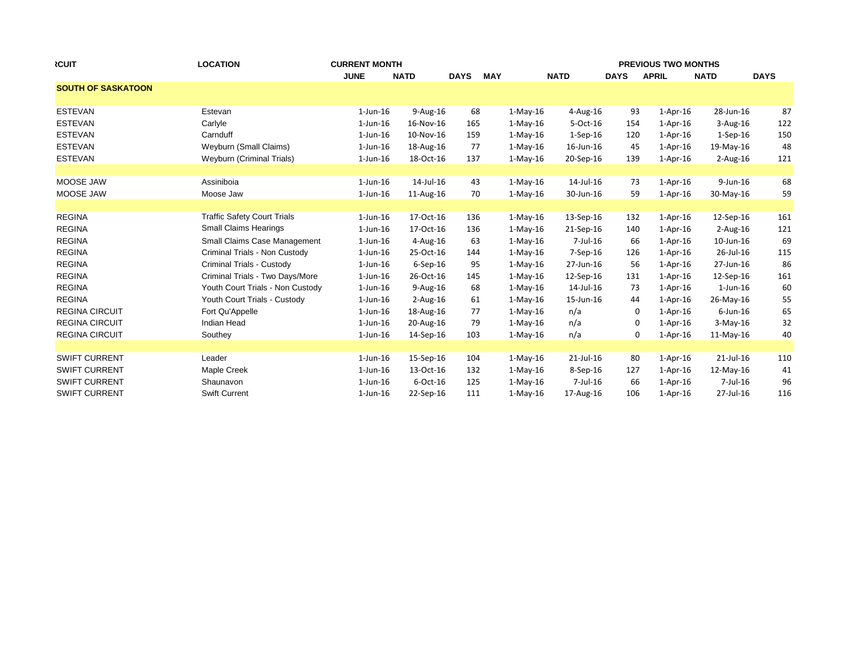| <b>RCUIT</b>              | <b>LOCATION</b>                    | <b>CURRENT MONTH</b> |                |             |            | <b>PREVIOUS TWO MONTHS</b> |             |              |              |             |  |  |
|---------------------------|------------------------------------|----------------------|----------------|-------------|------------|----------------------------|-------------|--------------|--------------|-------------|--|--|
|                           |                                    | <b>JUNE</b>          | <b>NATD</b>    | <b>DAYS</b> | <b>MAY</b> | <b>NATD</b>                | <b>DAYS</b> | <b>APRIL</b> | <b>NATD</b>  | <b>DAYS</b> |  |  |
| <b>SOUTH OF SASKATOON</b> |                                    |                      |                |             |            |                            |             |              |              |             |  |  |
| <b>ESTEVAN</b>            | Estevan                            | $1$ -Jun- $16$       | 9-Aug-16       | 68          | $1-May-16$ | $4$ -Aug-16                | 93          | $1-Apr-16$   | 28-Jun-16    | 87          |  |  |
| <b>ESTEVAN</b>            | Carlyle                            | $1$ -Jun- $16$       | 16-Nov-16      | 165         | 1-May-16   | 5-Oct-16                   | 154         | $1-Apr-16$   | $3-Aug-16$   | 122         |  |  |
| <b>ESTEVAN</b>            | Carnduff                           | $1$ -Jun- $16$       | 10-Nov-16      | 159         | $1-May-16$ | $1-Sep-16$                 | 120         | $1-Apr-16$   | $1-Sep-16$   | 150         |  |  |
| <b>ESTEVAN</b>            | Weyburn (Small Claims)             | $1$ -Jun-16          | 18-Aug-16      | 77          | $1-May-16$ | 16-Jun-16                  | 45          | $1-Apr-16$   | 19-May-16    | 48          |  |  |
| <b>ESTEVAN</b>            | Weyburn (Criminal Trials)          | $1$ -Jun- $16$       | 18-Oct-16      | 137         | $1-May-16$ | 20-Sep-16                  | 139         | $1-Apr-16$   | $2$ -Aug-16  | 121         |  |  |
| MOOSE JAW                 | Assiniboia                         | $1$ -Jun- $16$       | 14-Jul-16      | 43          | $1-May-16$ | 14-Jul-16                  | 73          | $1-Apr-16$   | $9$ -Jun-16  | 68          |  |  |
| MOOSE JAW                 | Moose Jaw                          | $1$ -Jun- $16$       | 11-Aug-16      | 70          | $1-Mav-16$ | 30-Jun-16                  | 59          | $1-Apr-16$   | 30-May-16    | 59          |  |  |
|                           |                                    |                      |                |             |            |                            |             |              |              |             |  |  |
| <b>REGINA</b>             | <b>Traffic Safety Court Trials</b> | $1$ -Jun- $16$       | 17-Oct-16      | 136         | $1-May-16$ | 13-Sep-16                  | 132         | $1-Apr-16$   | 12-Sep-16    | 161         |  |  |
| <b>REGINA</b>             | <b>Small Claims Hearings</b>       | $1$ -Jun-16          | 17-Oct-16      | 136         | $1-May-16$ | 21-Sep-16                  | 140         | $1-Apr-16$   | $2$ -Aug-16  | 121         |  |  |
| <b>REGINA</b>             | Small Claims Case Management       | $1$ -Jun- $16$       | $4$ -Aug-16    | 63          | 1-May-16   | 7-Jul-16                   | 66          | $1-Apr-16$   | 10-Jun-16    | 69          |  |  |
| <b>REGINA</b>             | Criminal Trials - Non Custody      | $1$ -Jun-16          | 25-Oct-16      | 144         | $1-May-16$ | $7-$ Sep $-16$             | 126         | $1-Apr-16$   | 26-Jul-16    | 115         |  |  |
| <b>REGINA</b>             | Criminal Trials - Custody          | $1$ -Jun-16          | $6-$ Sep $-16$ | 95          | $1-May-16$ | 27-Jun-16                  | 56          | $1-Apr-16$   | 27-Jun-16    | 86          |  |  |
| <b>REGINA</b>             | Criminal Trials - Two Days/More    | $1$ -Jun- $16$       | 26-Oct-16      | 145         | $1-May-16$ | 12-Sep-16                  | 131         | $1-Apr-16$   | 12-Sep-16    | 161         |  |  |
| <b>REGINA</b>             | Youth Court Trials - Non Custody   | $1$ -Jun- $16$       | 9-Aug-16       | 68          | $1-May-16$ | 14-Jul-16                  | 73          | $1-Apr-16$   | $1$ -Jun-16  | 60          |  |  |
| <b>REGINA</b>             | Youth Court Trials - Custody       | $1$ -Jun- $16$       | $2-Aug-16$     | 61          | $1-May-16$ | 15-Jun-16                  | 44          | $1-Apr-16$   | 26-May-16    | 55          |  |  |
| <b>REGINA CIRCUIT</b>     | Fort Qu'Appelle                    | $1$ -Jun- $16$       | 18-Aug-16      | 77          | $1-May-16$ | n/a                        | 0           | $1-Apr-16$   | $6$ -Jun-16  | 65          |  |  |
| <b>REGINA CIRCUIT</b>     | <b>Indian Head</b>                 | $1$ -Jun- $16$       | 20-Aug-16      | 79          | $1-May-16$ | n/a                        | 0           | $1-Apr-16$   | $3-May-16$   | 32          |  |  |
| <b>REGINA CIRCUIT</b>     | Southey                            | $1$ -Jun- $16$       | 14-Sep-16      | 103         | $1-May-16$ | n/a                        | 0           | $1-Apr-16$   | $11$ -May-16 | 40          |  |  |
|                           |                                    |                      |                |             |            |                            |             |              |              |             |  |  |
| <b>SWIFT CURRENT</b>      | Leader                             | $1$ -Jun- $16$       | 15-Sep-16      | 104         | $1-May-16$ | 21-Jul-16                  | 80          | $1-Apr-16$   | $21$ -Jul-16 | 110         |  |  |
| <b>SWIFT CURRENT</b>      | Maple Creek                        | $1$ -Jun- $16$       | 13-Oct-16      | 132         | $1-May-16$ | $8-$ Sep $-16$             | 127         | $1-Apr-16$   | 12-May-16    | 41          |  |  |
| <b>SWIFT CURRENT</b>      | Shaunavon                          | $1$ -Jun- $16$       | 6-Oct-16       | 125         | $1-May-16$ | 7-Jul-16                   | 66          | $1-Apr-16$   | 7-Jul-16     | 96          |  |  |
| <b>SWIFT CURRENT</b>      | <b>Swift Current</b>               | $1$ -Jun-16          | 22-Sep-16      | 111         | $1-Mav-16$ | 17-Aug-16                  | 106         | $1-Apr-16$   | 27-Jul-16    | 116         |  |  |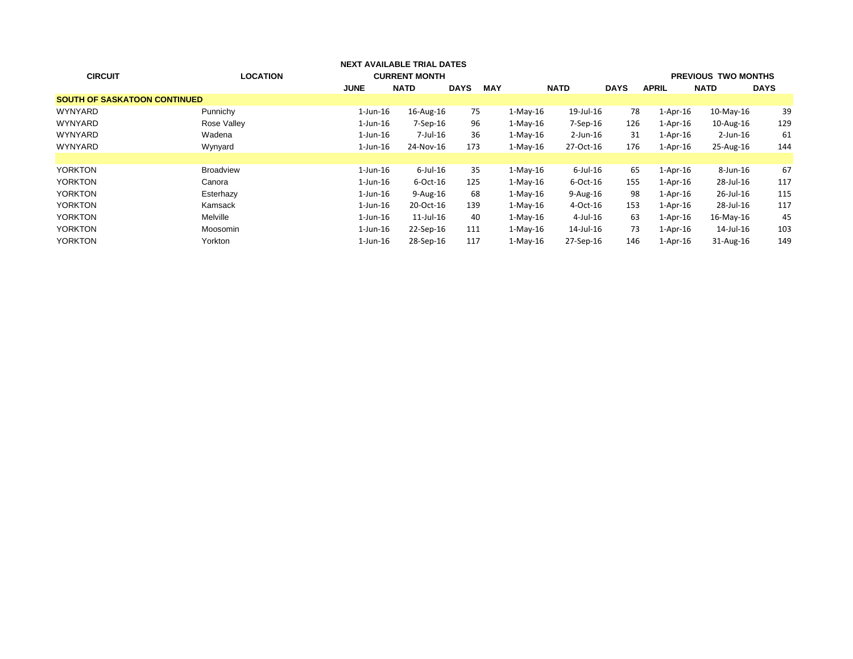| <b>CIRCUIT</b>                      | <b>LOCATION</b>  | <b>NEXT AVAILABLE TRIAL DATES</b><br><b>CURRENT MONTH</b> |                 |             |            |            |                |             |                | <b>PREVIOUS TWO MONTHS</b> |             |
|-------------------------------------|------------------|-----------------------------------------------------------|-----------------|-------------|------------|------------|----------------|-------------|----------------|----------------------------|-------------|
|                                     |                  | <b>JUNE</b>                                               | <b>NATD</b>     | <b>DAYS</b> | <b>MAY</b> |            | <b>NATD</b>    | <b>DAYS</b> | <b>APRIL</b>   | <b>NATD</b>                | <b>DAYS</b> |
| <b>SOUTH OF SASKATOON CONTINUED</b> |                  |                                                           |                 |             |            |            |                |             |                |                            |             |
| <b>WYNYARD</b>                      | Punnichy         | $1$ -Jun- $16$                                            | 16-Aug-16       | 75          |            | $1-Mav-16$ | 19-Jul-16      | 78          | $1-Apr-16$     | $10$ -May- $16$            | 39          |
| <b>WYNYARD</b>                      | Rose Valley      | $1$ -Jun- $16$                                            | $7-$ Sep $-16$  | 96          |            | $1-Mav-16$ | $7-$ Sep $-16$ | 126         | $1-Apr-16$     | 10-Aug-16                  | 129         |
| <b>WYNYARD</b>                      | Wadena           | $1$ -Jun- $16$                                            | 7-Jul-16        | 36          |            | $1-Mav-16$ | $2$ -Jun-16    | 31          | $1-Apr-16$     | 2-Jun-16                   | 61          |
| <b>WYNYARD</b>                      | Wynyard          | $1$ -Jun- $16$                                            | 24-Nov-16       | 173         |            | $1-Mav-16$ | 27-Oct-16      | 176         | $1$ -Apr- $16$ | 25-Aug-16                  | 144         |
|                                     |                  |                                                           |                 |             |            |            |                |             |                |                            |             |
| <b>YORKTON</b>                      | <b>Broadview</b> | $1$ -Jun- $16$                                            | $6$ -Jul-16     | 35          |            | $1-Mav-16$ | $6$ -Jul-16    | 65          | $1-Apr-16$     | 8-Jun-16                   | 67          |
| <b>YORKTON</b>                      | Canora           | $1$ -Jun- $16$                                            | $6$ -Oct-16     | 125         |            | $1-Mav-16$ | 6-Oct-16       | 155         | $1-Apr-16$     | 28-Jul-16                  | 117         |
| <b>YORKTON</b>                      | Esterhazy        | $1$ -Jun- $16$                                            | 9-Aug-16        | 68          |            | $1-Mav-16$ | $9-Aug-16$     | 98          | $1-Apr-16$     | 26-Jul-16                  | 115         |
| <b>YORKTON</b>                      | Kamsack          | $1$ -Jun- $16$                                            | 20-Oct-16       | 139         |            | $1-Mav-16$ | 4-Oct-16       | 153         | $1-Apr-16$     | 28-Jul-16                  | 117         |
| <b>YORKTON</b>                      | Melville         | $1$ -Jun- $16$                                            | $11$ -Jul- $16$ | 40          |            | $1-Mav-16$ | $4$ -Jul-16    | 63          | 1-Apr-16       | 16-May-16                  | 45          |
| <b>YORKTON</b>                      | Moosomin         | $1$ -Jun- $16$                                            | 22-Sep-16       | 111         |            | $1-Mav-16$ | 14-Jul-16      | 73          | 1-Apr-16       | 14-Jul-16                  | 103         |
| <b>YORKTON</b>                      | Yorkton          | $1$ -Jun- $16$                                            | 28-Sep-16       | 117         |            | $1-May-16$ | 27-Sep-16      | 146         | $1-Apr-16$     | 31-Aug-16                  | 149         |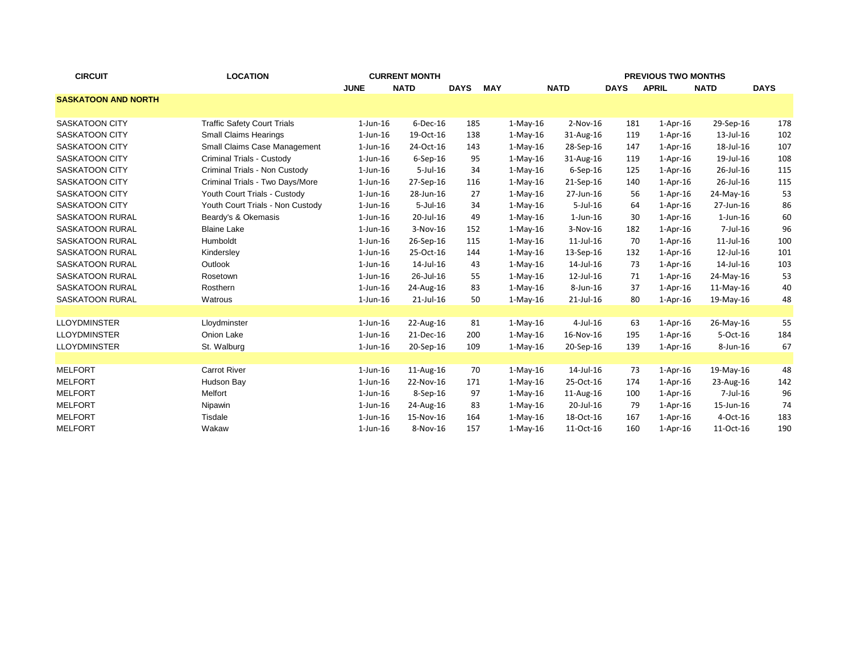| <b>CIRCUIT</b>             | <b>LOCATION</b>                    | <b>CURRENT MONTH</b> |                 |             |            |            |                 | <b>PREVIOUS TWO MONTHS</b> |              |                |             |  |
|----------------------------|------------------------------------|----------------------|-----------------|-------------|------------|------------|-----------------|----------------------------|--------------|----------------|-------------|--|
|                            |                                    | <b>JUNE</b>          | <b>NATD</b>     | <b>DAYS</b> | <b>MAY</b> |            | <b>NATD</b>     | <b>DAYS</b>                | <b>APRIL</b> | <b>NATD</b>    | <b>DAYS</b> |  |
| <b>SASKATOON AND NORTH</b> |                                    |                      |                 |             |            |            |                 |                            |              |                |             |  |
|                            |                                    |                      |                 |             |            |            |                 |                            |              |                |             |  |
| <b>SASKATOON CITY</b>      | <b>Traffic Safety Court Trials</b> | $1$ -Jun- $16$       | $6$ -Dec-16     | 185         |            | $1-May-16$ | $2-Nov-16$      | 181                        | $1-Apr-16$   | 29-Sep-16      | 178         |  |
| <b>SASKATOON CITY</b>      | <b>Small Claims Hearings</b>       | $1$ -Jun- $16$       | 19-Oct-16       | 138         |            | $1-May-16$ | 31-Aug-16       | 119                        | $1-Apr-16$   | 13-Jul-16      | 102         |  |
| <b>SASKATOON CITY</b>      | Small Claims Case Management       | $1$ -Jun- $16$       | 24-Oct-16       | 143         |            | $1-May-16$ | 28-Sep-16       | 147                        | $1-Apr-16$   | 18-Jul-16      | 107         |  |
| <b>SASKATOON CITY</b>      | Criminal Trials - Custody          | $1$ -Jun- $16$       | $6-$ Sep $-16$  | 95          |            | $1-May-16$ | 31-Aug-16       | 119                        | $1-Apr-16$   | 19-Jul-16      | 108         |  |
| <b>SASKATOON CITY</b>      | Criminal Trials - Non Custody      | $1$ -Jun- $16$       | $5$ -Jul-16     | 34          |            | $1-May-16$ | $6-$ Sep $-16$  | 125                        | $1-Apr-16$   | 26-Jul-16      | 115         |  |
| <b>SASKATOON CITY</b>      | Criminal Trials - Two Days/More    | $1$ -Jun- $16$       | 27-Sep-16       | 116         |            | $1-May-16$ | 21-Sep-16       | 140                        | $1-Apr-16$   | 26-Jul-16      | 115         |  |
| <b>SASKATOON CITY</b>      | Youth Court Trials - Custody       | $1$ -Jun- $16$       | 28-Jun-16       | 27          |            | $1-May-16$ | 27-Jun-16       | 56                         | $1-Apr-16$   | 24-May-16      | 53          |  |
| <b>SASKATOON CITY</b>      | Youth Court Trials - Non Custody   | $1$ -Jun- $16$       | $5 -$ Jul $-16$ | 34          |            | $1-May-16$ | $5$ -Jul-16     | 64                         | $1-Apr-16$   | 27-Jun-16      | 86          |  |
| <b>SASKATOON RURAL</b>     | Beardy's & Okemasis                | $1$ -Jun- $16$       | 20-Jul-16       | 49          |            | $1-May-16$ | $1$ -Jun- $16$  | 30                         | $1-Apr-16$   | $1$ -Jun- $16$ | 60          |  |
| <b>SASKATOON RURAL</b>     | <b>Blaine Lake</b>                 | $1$ -Jun- $16$       | 3-Nov-16        | 152         |            | $1-May-16$ | 3-Nov-16        | 182                        | $1-Apr-16$   | 7-Jul-16       | 96          |  |
| <b>SASKATOON RURAL</b>     | Humboldt                           | $1$ -Jun- $16$       | 26-Sep-16       | 115         |            | $1-May-16$ | $11$ -Jul- $16$ | 70                         | $1-Apr-16$   | 11-Jul-16      | 100         |  |
| <b>SASKATOON RURAL</b>     | Kindersley                         | $1$ -Jun- $16$       | 25-Oct-16       | 144         |            | $1-May-16$ | 13-Sep-16       | 132                        | $1-Apr-16$   | 12-Jul-16      | 101         |  |
| <b>SASKATOON RURAL</b>     | Outlook                            | $1$ -Jun- $16$       | 14-Jul-16       | 43          |            | $1-May-16$ | 14-Jul-16       | 73                         | $1-Apr-16$   | 14-Jul-16      | 103         |  |
| <b>SASKATOON RURAL</b>     | Rosetown                           | $1$ -Jun- $16$       | 26-Jul-16       | 55          |            | $1-May-16$ | 12-Jul-16       | 71                         | $1-Apr-16$   | 24-May-16      | 53          |  |
| <b>SASKATOON RURAL</b>     | Rosthern                           | $1$ -Jun- $16$       | 24-Aug-16       | 83          |            | $1-Mav-16$ | 8-Jun-16        | 37                         | $1-Apr-16$   | $11-May-16$    | 40          |  |
| <b>SASKATOON RURAL</b>     | Watrous                            | $1$ -Jun- $16$       | 21-Jul-16       | 50          |            | $1-May-16$ | 21-Jul-16       | 80                         | $1-Apr-16$   | 19-May-16      | 48          |  |
|                            |                                    |                      |                 |             |            |            |                 |                            |              |                |             |  |
| <b>LLOYDMINSTER</b>        | Lloydminster                       | $1$ -Jun- $16$       | 22-Aug-16       | 81          |            | $1-May-16$ | $4$ -Jul-16     | 63                         | $1-Apr-16$   | 26-May-16      | 55          |  |
| <b>LLOYDMINSTER</b>        | Onion Lake                         | $1$ -Jun- $16$       | 21-Dec-16       | 200         |            | $1-Mav-16$ | 16-Nov-16       | 195                        | $1-Apr-16$   | 5-Oct-16       | 184         |  |
| <b>LLOYDMINSTER</b>        | St. Walburg                        | $1$ -Jun- $16$       | 20-Sep-16       | 109         |            | $1-May-16$ | 20-Sep-16       | 139                        | $1-Apr-16$   | 8-Jun-16       | 67          |  |
|                            |                                    |                      |                 |             |            |            |                 |                            |              |                |             |  |
| <b>MELFORT</b>             | <b>Carrot River</b>                | $1$ -Jun- $16$       | 11-Aug-16       | 70          |            | $1-May-16$ | 14-Jul-16       | 73                         | $1-Apr-16$   | 19-May-16      | 48          |  |
| <b>MELFORT</b>             | Hudson Bay                         | $1$ -Jun- $16$       | 22-Nov-16       | 171         |            | $1-May-16$ | 25-Oct-16       | 174                        | $1-Apr-16$   | 23-Aug-16      | 142         |  |
| <b>MELFORT</b>             | Melfort                            | $1$ -Jun- $16$       | 8-Sep-16        | 97          |            | $1-May-16$ | 11-Aug-16       | 100                        | $1-Apr-16$   | $7$ -Jul-16    | 96          |  |
| <b>MELFORT</b>             | Nipawin                            | $1$ -Jun- $16$       | 24-Aug-16       | 83          |            | $1-May-16$ | 20-Jul-16       | 79                         | $1-Apr-16$   | 15-Jun-16      | 74          |  |
| <b>MELFORT</b>             | Tisdale                            | $1$ -Jun- $16$       | 15-Nov-16       | 164         |            | $1-May-16$ | 18-Oct-16       | 167                        | $1-Apr-16$   | 4-Oct-16       | 183         |  |
| <b>MELFORT</b>             | Wakaw                              | $1$ -Jun- $16$       | 8-Nov-16        | 157         |            | $1-Mav-16$ | 11-Oct-16       | 160                        | $1-Apr-16$   | 11-Oct-16      | 190         |  |